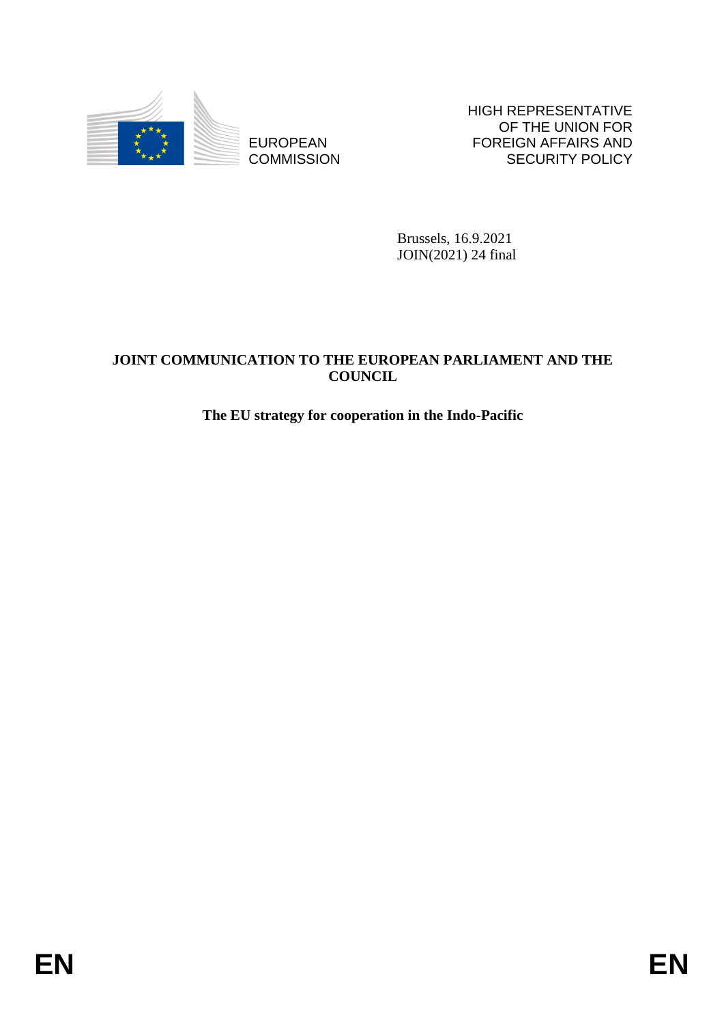

**COMMISSION** 

HIGH REPRESENTATIVE OF THE UNION FOR FOREIGN AFFAIRS AND SECURITY POLICY

Brussels, 16.9.2021 JOIN(2021) 24 final

# ENGELISCOPEAN FOREIGN AND FOREIGN AFFAIRS AND COMMISSION BROWSES (ACCURATION TO THE RUNOPEAN PARTLAMENT AND THE COUNCIL The RU strategy for cooperation in the Indo-Pastifical COUNCIL The RU strategy for cooperation in the **JOINT COMMUNICATION TO THE EUROPEAN PARLIAMENT AND THE COUNCIL**

# **The EU strategy for cooperation in the Indo-Pacific**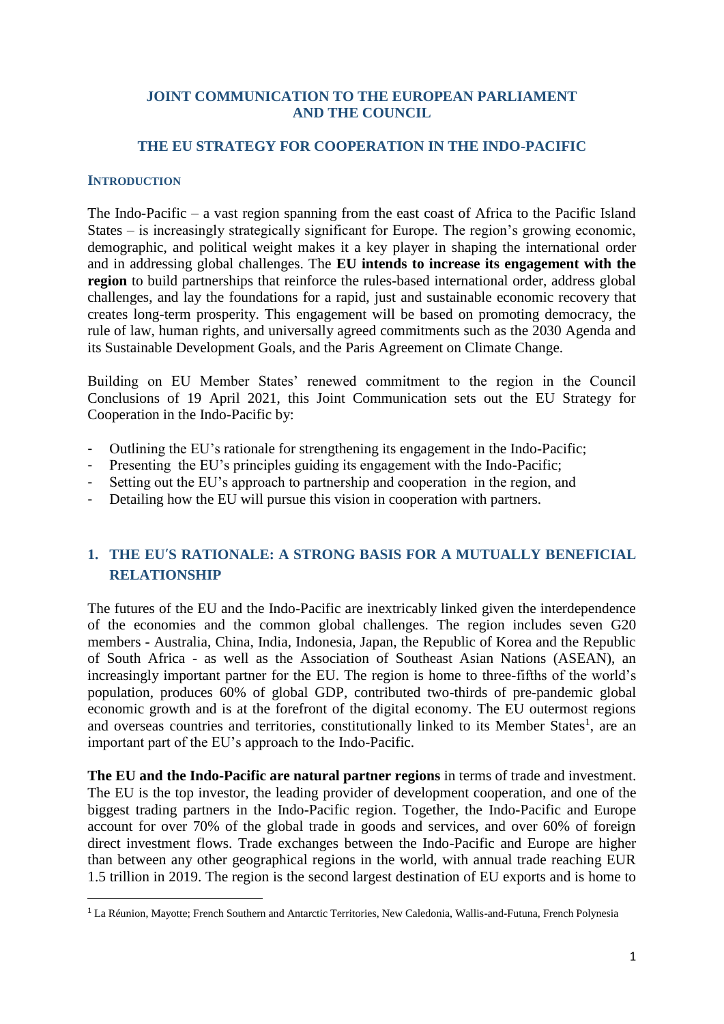## **JOINT COMMUNICATION TO THE EUROPEAN PARLIAMENT AND THE COUNCIL**

## **THE EU STRATEGY FOR COOPERATION IN THE INDO-PACIFIC**

#### **INTRODUCTION**

1

The Indo-Pacific – a vast region spanning from the east coast of Africa to the Pacific Island States – is increasingly strategically significant for Europe. The region's growing economic, demographic, and political weight makes it a key player in shaping the international order and in addressing global challenges. The **EU intends to increase its engagement with the region** to build partnerships that reinforce the rules-based international order, address global challenges, and lay the foundations for a rapid, just and sustainable economic recovery that creates long-term prosperity. This engagement will be based on promoting democracy, the rule of law, human rights, and universally agreed commitments such as the 2030 Agenda and its Sustainable Development Goals, and the Paris Agreement on Climate Change.

Building on EU Member States' renewed commitment to the region in the Council Conclusions of 19 April 2021, this Joint Communication sets out the EU Strategy for Cooperation in the Indo-Pacific by:

- Outlining the EU's rationale for strengthening its engagement in the Indo-Pacific;
- Presenting the EU's principles guiding its engagement with the Indo-Pacific;
- Setting out the EU's approach to partnership and cooperation in the region, and
- Detailing how the EU will pursue this vision in cooperation with partners.

# **1. THE EU'S RATIONALE: A STRONG BASIS FOR A MUTUALLY BENEFICIAL RELATIONSHIP**

The futures of the EU and the Indo-Pacific are inextricably linked given the interdependence of the economies and the common global challenges. The region includes seven G20 members - Australia, China, India, Indonesia, Japan, the Republic of Korea and the Republic of South Africa - as well as the Association of Southeast Asian Nations (ASEAN), an increasingly important partner for the EU. The region is home to three-fifths of the world's population, produces 60% of global GDP, contributed two-thirds of pre-pandemic global economic growth and is at the forefront of the digital economy. The EU outermost regions and overseas countries and territories, constitutionally linked to its Member States<sup>1</sup>, are an important part of the EU's approach to the Indo-Pacific.

**The EU and the Indo-Pacific are natural partner regions** in terms of trade and investment. The EU is the top investor, the leading provider of development cooperation, and one of the biggest trading partners in the Indo-Pacific region. Together, the Indo-Pacific and Europe account for over 70% of the global trade in goods and services, and over 60% of foreign direct investment flows. Trade exchanges between the Indo-Pacific and Europe are higher than between any other geographical regions in the world, with annual trade reaching EUR 1.5 trillion in 2019. The region is the second largest destination of EU exports and is home to

<sup>1</sup> La Réunion, Mayotte; French Southern and Antarctic Territories, New Caledonia, Wallis-and-Futuna, French Polynesia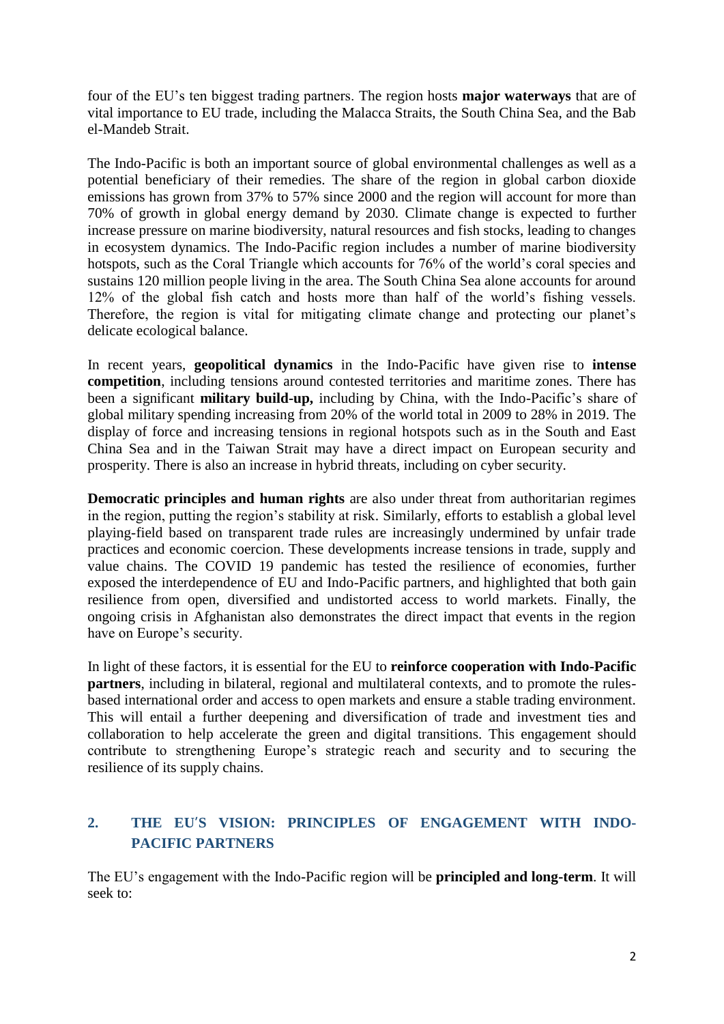four of the EU's ten biggest trading partners. The region hosts **major waterways** that are of vital importance to EU trade, including the Malacca Straits, the South China Sea, and the Bab el-Mandeb Strait.

The Indo-Pacific is both an important source of global environmental challenges as well as a potential beneficiary of their remedies. The share of the region in global carbon dioxide emissions has grown from 37% to 57% since 2000 and the region will account for more than 70% of growth in global energy demand by 2030. Climate change is expected to further increase pressure on marine biodiversity, natural resources and fish stocks, leading to changes in ecosystem dynamics. The Indo-Pacific region includes a number of marine biodiversity hotspots, such as the Coral Triangle which accounts for 76% of the world's coral species and sustains 120 million people living in the area. The South China Sea alone accounts for around 12% of the global fish catch and hosts more than half of the world's fishing vessels. Therefore, the region is vital for mitigating climate change and protecting our planet's delicate ecological balance.

In recent years, **geopolitical dynamics** in the Indo-Pacific have given rise to **intense competition**, including tensions around contested territories and maritime zones. There has been a significant **military build-up,** including by China, with the Indo-Pacific's share of global military spending increasing from 20% of the world total in 2009 to 28% in 2019. The display of force and increasing tensions in regional hotspots such as in the South and East China Sea and in the Taiwan Strait may have a direct impact on European security and prosperity. There is also an increase in hybrid threats, including on cyber security.

**Democratic principles and human rights** are also under threat from authoritarian regimes in the region, putting the region's stability at risk. Similarly, efforts to establish a global level playing-field based on transparent trade rules are increasingly undermined by unfair trade practices and economic coercion. These developments increase tensions in trade, supply and value chains. The COVID 19 pandemic has tested the resilience of economies, further exposed the interdependence of EU and Indo-Pacific partners, and highlighted that both gain resilience from open, diversified and undistorted access to world markets. Finally, the ongoing crisis in Afghanistan also demonstrates the direct impact that events in the region have on Europe's security.

In light of these factors, it is essential for the EU to **reinforce cooperation with Indo-Pacific partners**, including in bilateral, regional and multilateral contexts, and to promote the rulesbased international order and access to open markets and ensure a stable trading environment. This will entail a further deepening and diversification of trade and investment ties and collaboration to help accelerate the green and digital transitions. This engagement should contribute to strengthening Europe's strategic reach and security and to securing the resilience of its supply chains.

# **2. THE EU'S VISION: PRINCIPLES OF ENGAGEMENT WITH INDO-PACIFIC PARTNERS**

The EU's engagement with the Indo-Pacific region will be **principled and long-term**. It will seek to: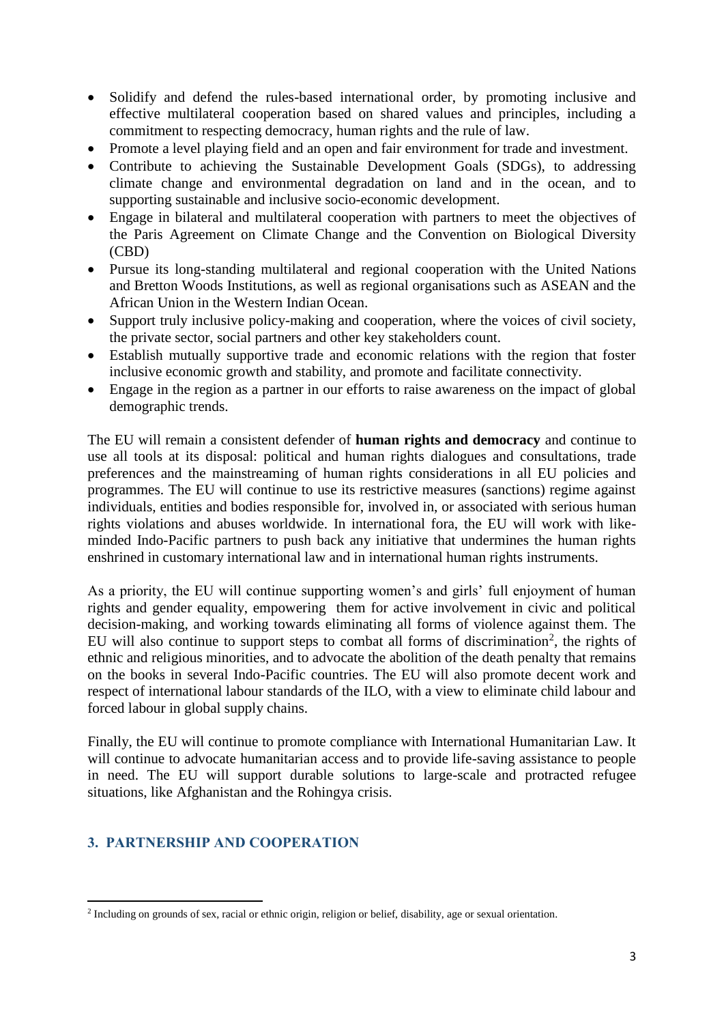- Solidify and defend the rules-based international order, by promoting inclusive and effective multilateral cooperation based on shared values and principles, including a commitment to respecting democracy, human rights and the rule of law.
- Promote a level playing field and an open and fair environment for trade and investment.
- Contribute to achieving the Sustainable Development Goals (SDGs), to addressing climate change and environmental degradation on land and in the ocean, and to supporting sustainable and inclusive socio-economic development.
- Engage in bilateral and multilateral cooperation with partners to meet the objectives of the Paris Agreement on Climate Change and the Convention on Biological Diversity (CBD)
- Pursue its long-standing multilateral and regional cooperation with the United Nations and Bretton Woods Institutions, as well as regional organisations such as ASEAN and the African Union in the Western Indian Ocean.
- Support truly inclusive policy-making and cooperation, where the voices of civil society, the private sector, social partners and other key stakeholders count.
- Establish mutually supportive trade and economic relations with the region that foster inclusive economic growth and stability, and promote and facilitate connectivity.
- Engage in the region as a partner in our efforts to raise awareness on the impact of global demographic trends.

The EU will remain a consistent defender of **human rights and democracy** and continue to use all tools at its disposal: political and human rights dialogues and consultations, trade preferences and the mainstreaming of human rights considerations in all EU policies and programmes. The EU will continue to use its restrictive measures (sanctions) regime against individuals, entities and bodies responsible for, involved in, or associated with serious human rights violations and abuses worldwide. In international fora, the EU will work with likeminded Indo-Pacific partners to push back any initiative that undermines the human rights enshrined in customary international law and in international human rights instruments.

As a priority, the EU will continue supporting women's and girls' full enjoyment of human rights and gender equality, empowering them for active involvement in civic and political decision-making, and working towards eliminating all forms of violence against them. The EU will also continue to support steps to combat all forms of discrimination<sup>2</sup>, the rights of ethnic and religious minorities, and to advocate the abolition of the death penalty that remains on the books in several Indo-Pacific countries. The EU will also promote decent work and respect of international labour standards of the ILO, with a view to eliminate child labour and forced labour in global supply chains.

Finally, the EU will continue to promote compliance with International Humanitarian Law. It will continue to advocate humanitarian access and to provide life-saving assistance to people in need. The EU will support durable solutions to large-scale and protracted refugee situations, like Afghanistan and the Rohingya crisis.

# **3. PARTNERSHIP AND COOPERATION**

<sup>1</sup> <sup>2</sup> Including on grounds of sex, racial or ethnic origin, religion or belief, disability, age or sexual orientation.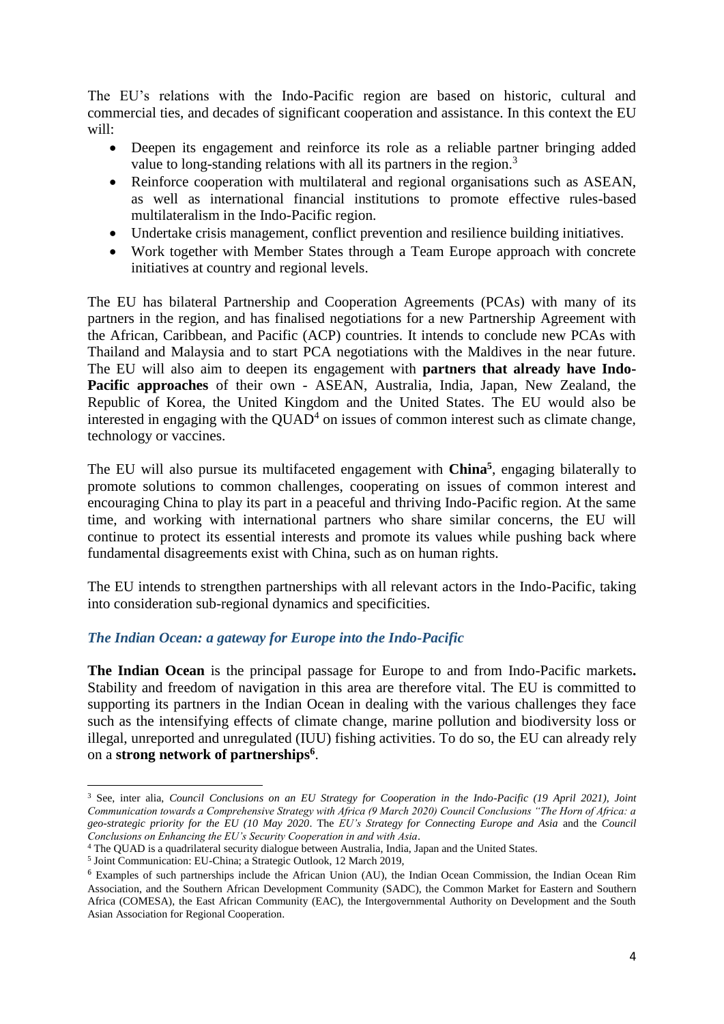The EU's relations with the Indo-Pacific region are based on historic, cultural and commercial ties, and decades of significant cooperation and assistance. In this context the EU will:

- Deepen its engagement and reinforce its role as a reliable partner bringing added value to long-standing relations with all its partners in the region.<sup>3</sup>
- Reinforce cooperation with multilateral and regional organisations such as ASEAN, as well as international financial institutions to promote effective rules-based multilateralism in the Indo-Pacific region.
- Undertake crisis management, conflict prevention and resilience building initiatives.
- Work together with Member States through a Team Europe approach with concrete initiatives at country and regional levels.

The EU has bilateral Partnership and Cooperation Agreements (PCAs) with many of its partners in the region, and has finalised negotiations for a new Partnership Agreement with the African, Caribbean, and Pacific (ACP) countries. It intends to conclude new PCAs with Thailand and Malaysia and to start PCA negotiations with the Maldives in the near future. The EU will also aim to deepen its engagement with **partners that already have Indo-Pacific approaches** of their own - ASEAN, Australia, India, Japan, New Zealand, the Republic of Korea, the United Kingdom and the United States. The EU would also be interested in engaging with the  $QUAD<sup>4</sup>$  on issues of common interest such as climate change, technology or vaccines.

The EU will also pursue its multifaceted engagement with **China<sup>5</sup>** , engaging bilaterally to promote solutions to common challenges, cooperating on issues of common interest and encouraging China to play its part in a peaceful and thriving Indo-Pacific region. At the same time, and working with international partners who share similar concerns, the EU will continue to protect its essential interests and promote its values while pushing back where fundamental disagreements exist with China, such as on human rights.

The EU intends to strengthen partnerships with all relevant actors in the Indo-Pacific, taking into consideration sub-regional dynamics and specificities.

#### *The Indian Ocean: a gateway for Europe into the Indo-Pacific*

**The Indian Ocean** is the principal passage for Europe to and from Indo-Pacific markets**.** Stability and freedom of navigation in this area are therefore vital. The EU is committed to supporting its partners in the Indian Ocean in dealing with the various challenges they face such as the intensifying effects of climate change, marine pollution and biodiversity loss or illegal, unreported and unregulated (IUU) fishing activities. To do so, the EU can already rely on a **strong network of partnerships<sup>6</sup>** .

**<sup>.</sup>** <sup>3</sup> See, inter alia, *Council Conclusions on an EU Strategy for Cooperation in the Indo-Pacific (19 April 2021), Joint Communication towards a Comprehensive Strategy with Africa (9 March 2020) Council Conclusions "The Horn of Africa: a geo-strategic priority for the EU (10 May 2020*. The *EU's Strategy for Connecting Europe and Asia* and the *Council Conclusions on Enhancing the EU's Security Cooperation in and with Asia*.

<sup>4</sup> The QUAD is a quadrilateral security dialogue between Australia, India, Japan and the United States.

<sup>5</sup> Joint Communication: EU-China; a Strategic Outlook, 12 March 2019,

<sup>6</sup> Examples of such partnerships include the African Union (AU), the Indian Ocean Commission, the Indian Ocean Rim Association, and the Southern African Development Community (SADC), the Common Market for Eastern and Southern Africa (COMESA), the East African Community (EAC), the Intergovernmental Authority on Development and the South Asian Association for Regional Cooperation.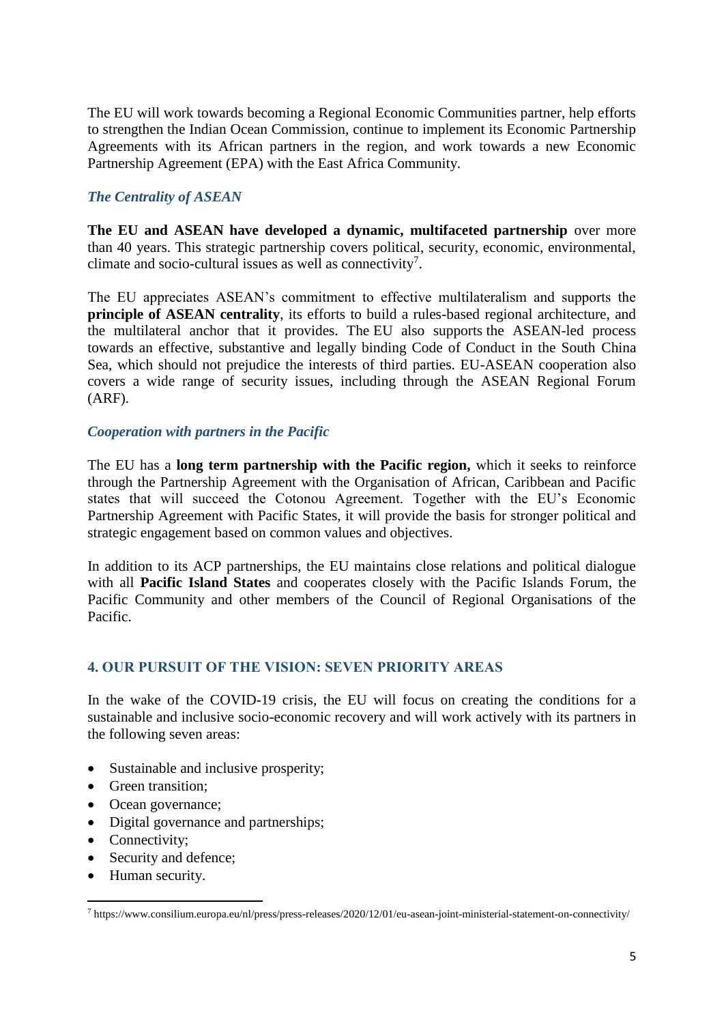The EU will work towards becoming a Regional Economic Communities partner, help efforts to strengthen the Indian Ocean Commission, continue to implement its Economic Partnership Agreements with its African partners in the region, and work towards a new Economic Partnership Agreement (EPA) with the East Africa Community.

## *The Centrality of ASEAN*

**The EU and ASEAN have developed a dynamic, multifaceted partnership** over more than 40 years. This strategic partnership covers political, security, economic, environmental, climate and socio-cultural issues as well as connectivity<sup>7</sup>.

The EU appreciates ASEAN's commitment to effective multilateralism and supports the **principle of ASEAN centrality**, its efforts to build a rules-based regional architecture, and the multilateral anchor that it provides. The EU also supports the ASEAN-led process towards an effective, substantive and legally binding Code of Conduct in the South China Sea, which should not prejudice the interests of third parties. EU-ASEAN cooperation also covers a wide range of security issues, including through the ASEAN Regional Forum (ARF).

## *Cooperation with partners in the Pacific*

The EU has a **long term partnership with the Pacific region,** which it seeks to reinforce through the Partnership Agreement with the Organisation of African, Caribbean and Pacific states that will succeed the Cotonou Agreement. Together with the EU's Economic Partnership Agreement with Pacific States, it will provide the basis for stronger political and strategic engagement based on common values and objectives.

In addition to its ACP partnerships, the EU maintains close relations and political dialogue with all **Pacific Island States** and cooperates closely with the Pacific Islands Forum, the Pacific Community and other members of the Council of Regional Organisations of the Pacific.

## **4. OUR PURSUIT OF THE VISION: SEVEN PRIORITY AREAS**

In the wake of the COVID-19 crisis, the EU will focus on creating the conditions for a sustainable and inclusive socio-economic recovery and will work actively with its partners in the following seven areas:

- Sustainable and inclusive prosperity;
- Green transition:
- Ocean governance;
- Digital governance and partnerships;
- Connectivity:

1

- Security and defence;
- Human security.

<sup>7</sup> https://www.consilium.europa.eu/nl/press/press-releases/2020/12/01/eu-asean-joint-ministerial-statement-on-connectivity/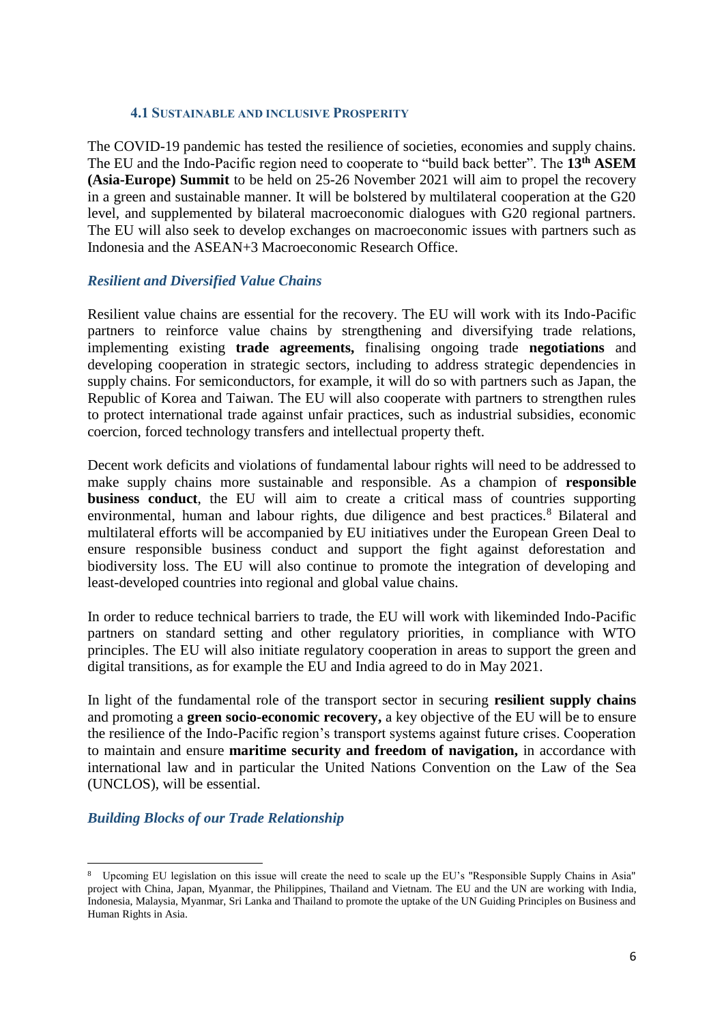#### **4.1 SUSTAINABLE AND INCLUSIVE PROSPERITY**

The COVID-19 pandemic has tested the resilience of societies, economies and supply chains. The EU and the Indo-Pacific region need to cooperate to "build back better". The **13th ASEM (Asia-Europe) Summit** to be held on 25-26 November 2021 will aim to propel the recovery in a green and sustainable manner. It will be bolstered by multilateral cooperation at the G20 level, and supplemented by bilateral macroeconomic dialogues with G20 regional partners. The EU will also seek to develop exchanges on macroeconomic issues with partners such as Indonesia and the ASEAN+3 Macroeconomic Research Office.

## *Resilient and Diversified Value Chains*

Resilient value chains are essential for the recovery. The EU will work with its Indo-Pacific partners to reinforce value chains by strengthening and diversifying trade relations, implementing existing **trade agreements,** finalising ongoing trade **negotiations** and developing cooperation in strategic sectors, including to address strategic dependencies in supply chains. For semiconductors, for example, it will do so with partners such as Japan, the Republic of Korea and Taiwan. The EU will also cooperate with partners to strengthen rules to protect international trade against unfair practices, such as industrial subsidies, economic coercion, forced technology transfers and intellectual property theft.

Decent work deficits and violations of fundamental labour rights will need to be addressed to make supply chains more sustainable and responsible. As a champion of **responsible business conduct**, the EU will aim to create a critical mass of countries supporting environmental, human and labour rights, due diligence and best practices.<sup>8</sup> Bilateral and multilateral efforts will be accompanied by EU initiatives under the European Green Deal to ensure responsible business conduct and support the fight against deforestation and biodiversity loss. The EU will also continue to promote the integration of developing and least-developed countries into regional and global value chains.

In order to reduce technical barriers to trade, the EU will work with likeminded Indo-Pacific partners on standard setting and other regulatory priorities, in compliance with WTO principles. The EU will also initiate regulatory cooperation in areas to support the green and digital transitions, as for example the EU and India agreed to do in May 2021.

In light of the fundamental role of the transport sector in securing **resilient supply chains** and promoting a **green socio-economic recovery,** a key objective of the EU will be to ensure the resilience of the Indo-Pacific region's transport systems against future crises. Cooperation to maintain and ensure **maritime security and freedom of navigation,** in accordance with international law and in particular the United Nations Convention on the Law of the Sea (UNCLOS), will be essential.

## *Building Blocks of our Trade Relationship*

<sup>1</sup> 8 Upcoming EU legislation on this issue will create the need to scale up the EU's "Responsible Supply Chains in Asia" project with China, Japan, Myanmar, the Philippines, Thailand and Vietnam. The EU and the UN are working with India, Indonesia, Malaysia, Myanmar, Sri Lanka and Thailand to promote the uptake of the UN Guiding Principles on Business and Human Rights in Asia.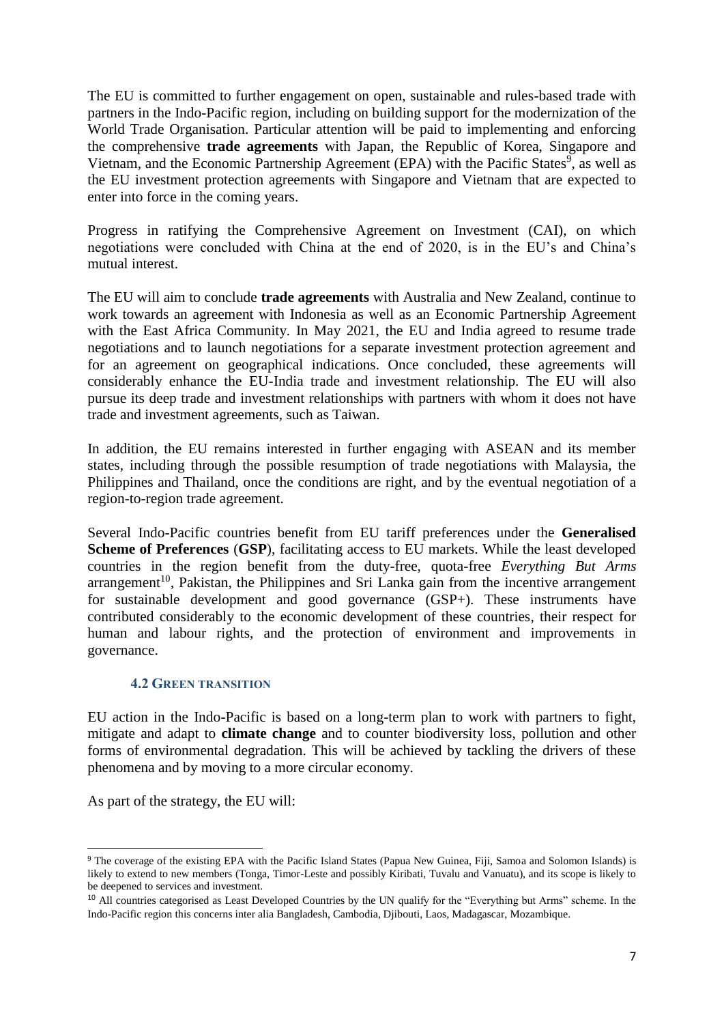The EU is committed to further engagement on open, sustainable and rules-based trade with partners in the Indo-Pacific region, including on building support for the modernization of the World Trade Organisation. Particular attention will be paid to implementing and enforcing the comprehensive **trade agreements** with Japan, the Republic of Korea, Singapore and Vietnam, and the Economic Partnership Agreement (EPA) with the Pacific States<sup>9</sup>, as well as the EU investment protection agreements with Singapore and Vietnam that are expected to enter into force in the coming years.

Progress in ratifying the Comprehensive Agreement on Investment (CAI), on which negotiations were concluded with China at the end of 2020, is in the EU's and China's mutual interest.

The EU will aim to conclude **trade agreements** with Australia and New Zealand, continue to work towards an agreement with Indonesia as well as an Economic Partnership Agreement with the East Africa Community. In May 2021, the EU and India agreed to resume trade negotiations and to launch negotiations for a separate investment protection agreement and for an agreement on geographical indications. Once concluded, these agreements will considerably enhance the EU-India trade and investment relationship. The EU will also pursue its deep trade and investment relationships with partners with whom it does not have trade and investment agreements, such as Taiwan.

In addition, the EU remains interested in further engaging with ASEAN and its member states, including through the possible resumption of trade negotiations with Malaysia, the Philippines and Thailand, once the conditions are right, and by the eventual negotiation of a region-to-region trade agreement.

Several Indo-Pacific countries benefit from EU tariff preferences under the **Generalised Scheme of Preferences** (**GSP**), facilitating access to EU markets. While the least developed countries in the region benefit from the duty-free, quota-free *Everything But Arms*  $\alpha$ arrangement<sup>10</sup>, Pakistan, the Philippines and Sri Lanka gain from the incentive arrangement for sustainable development and good governance (GSP+). These instruments have contributed considerably to the economic development of these countries, their respect for human and labour rights, and the protection of environment and improvements in governance.

#### **4.2 GREEN TRANSITION**

EU action in the Indo-Pacific is based on a long-term plan to work with partners to fight, mitigate and adapt to **climate change** and to counter biodiversity loss, pollution and other forms of environmental degradation. This will be achieved by tackling the drivers of these phenomena and by moving to a more circular economy.

As part of the strategy, the EU will:

**.** 

<sup>9</sup> The coverage of the existing EPA with the Pacific Island States (Papua New Guinea, Fiji, Samoa and Solomon Islands) is likely to extend to new members (Tonga, Timor-Leste and possibly Kiribati, Tuvalu and Vanuatu), and its scope is likely to be deepened to services and investment.

<sup>&</sup>lt;sup>10</sup> All countries categorised as Least Developed Countries by the UN qualify for the "Everything but Arms" scheme. In the Indo-Pacific region this concerns inter alia Bangladesh, Cambodia, Djibouti, Laos, Madagascar, Mozambique.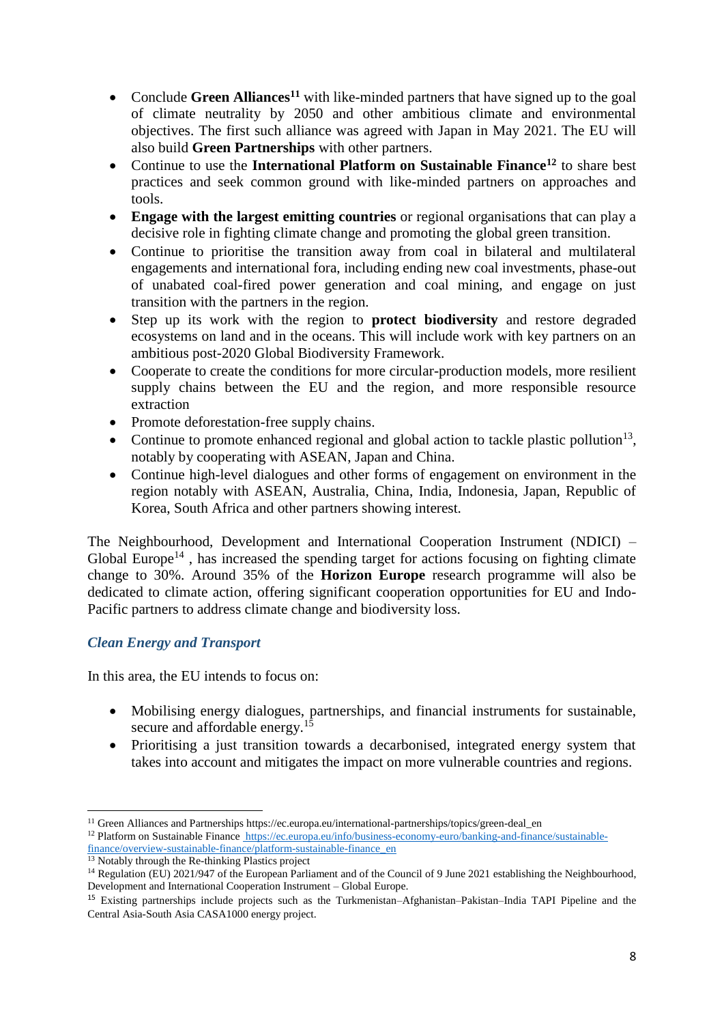- Conclude Green Alliances<sup>11</sup> with like-minded partners that have signed up to the goal of climate neutrality by 2050 and other ambitious climate and environmental objectives. The first such alliance was agreed with Japan in May 2021. The EU will also build **Green Partnerships** with other partners.
- Continue to use the **International Platform on Sustainable Finance<sup>12</sup>** to share best practices and seek common ground with like-minded partners on approaches and tools.
- **Engage with the largest emitting countries** or regional organisations that can play a decisive role in fighting climate change and promoting the global green transition.
- Continue to prioritise the transition away from coal in bilateral and multilateral engagements and international fora, including ending new coal investments, phase-out of unabated coal-fired power generation and coal mining, and engage on just transition with the partners in the region.
- Step up its work with the region to **protect biodiversity** and restore degraded ecosystems on land and in the oceans. This will include work with key partners on an ambitious post-2020 Global Biodiversity Framework.
- Cooperate to create the conditions for more circular-production models, more resilient supply chains between the EU and the region, and more responsible resource extraction
- Promote deforestation-free supply chains.
- Continue to promote enhanced regional and global action to tackle plastic pollution<sup>13</sup>, notably by cooperating with ASEAN, Japan and China.
- Continue high-level dialogues and other forms of engagement on environment in the region notably with ASEAN, Australia, China, India, Indonesia, Japan, Republic of Korea, South Africa and other partners showing interest.

The Neighbourhood, Development and International Cooperation Instrument (NDICI) – Global Europe<sup>14</sup>, has increased the spending target for actions focusing on fighting climate change to 30%. Around 35% of the **Horizon Europe** research programme will also be dedicated to climate action, offering significant cooperation opportunities for EU and Indo-Pacific partners to address climate change and biodiversity loss.

# *Clean Energy and Transport*

In this area, the EU intends to focus on:

- Mobilising energy dialogues, partnerships, and financial instruments for sustainable, secure and affordable energy.<sup>15</sup>
- Prioritising a just transition towards a decarbonised, integrated energy system that takes into account and mitigates the impact on more vulnerable countries and regions.

<sup>1</sup> <sup>11</sup> Green Alliances and Partnerships https://ec.europa.eu/international-partnerships/topics/green-deal en <sup>12</sup> Platform on Sustainable Finance [https://ec.europa.eu/info/business-economy-euro/banking-and-finance/sustainable](https://ec.europa.eu/info/business-economy-euro/banking-and-finance/sustainable-finance/overview-sustainable-finance/platform-sustainable-finance_en)[finance/overview-sustainable-finance/platform-sustainable-finance\\_en](https://ec.europa.eu/info/business-economy-euro/banking-and-finance/sustainable-finance/overview-sustainable-finance/platform-sustainable-finance_en)

<sup>&</sup>lt;sup>13</sup> Notably through the Re-thinking Plastics project

<sup>&</sup>lt;sup>14</sup> Regulation (EU) 2021/947 of the European Parliament and of the Council of 9 June 2021 establishing the Neighbourhood, Development and International Cooperation Instrument – Global Europe.

<sup>15</sup> Existing partnerships include projects such as the Turkmenistan–Afghanistan–Pakistan–India TAPI Pipeline and the Central Asia-South Asia CASA1000 energy project.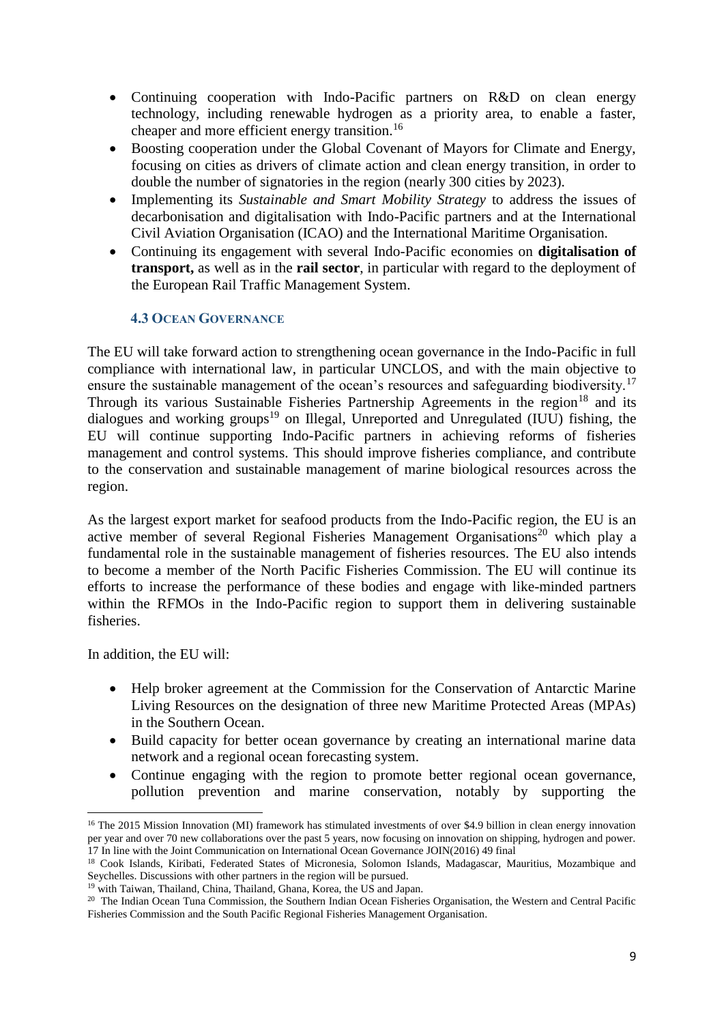- Continuing cooperation with Indo-Pacific partners on R&D on clean energy technology, including renewable hydrogen as a priority area, to enable a faster, cheaper and more efficient energy transition.<sup>16</sup>
- Boosting cooperation under the Global Covenant of Mayors for Climate and Energy, focusing on cities as drivers of climate action and clean energy transition, in order to double the number of signatories in the region (nearly 300 cities by 2023).
- Implementing its *Sustainable and Smart Mobility Strategy* to address the issues of decarbonisation and digitalisation with Indo-Pacific partners and at the International Civil Aviation Organisation (ICAO) and the International Maritime Organisation.
- Continuing its engagement with several Indo-Pacific economies on **digitalisation of transport,** as well as in the **rail sector**, in particular with regard to the deployment of the European Rail Traffic Management System.

## **4.3 OCEAN GOVERNANCE**

The EU will take forward action to strengthening ocean governance in the Indo-Pacific in full compliance with international law, in particular UNCLOS, and with the main objective to ensure the sustainable management of the ocean's resources and safeguarding biodiversity.<sup>17</sup> Through its various Sustainable Fisheries Partnership Agreements in the region<sup>18</sup> and its dialogues and working groups<sup>19</sup> on Illegal, Unreported and Unregulated (IUU) fishing, the EU will continue supporting Indo-Pacific partners in achieving reforms of fisheries management and control systems. This should improve fisheries compliance, and contribute to the conservation and sustainable management of marine biological resources across the region.

As the largest export market for seafood products from the Indo-Pacific region, the EU is an active member of several Regional Fisheries Management Organisations<sup>20</sup> which play a fundamental role in the sustainable management of fisheries resources. The EU also intends to become a member of the North Pacific Fisheries Commission. The EU will continue its efforts to increase the performance of these bodies and engage with like-minded partners within the RFMOs in the Indo-Pacific region to support them in delivering sustainable fisheries.

In addition, the EU will:

**.** 

- Help broker agreement at the Commission for the Conservation of Antarctic Marine Living Resources on the designation of three new Maritime Protected Areas (MPAs) in the Southern Ocean.
- Build capacity for better ocean governance by creating an international marine data network and a regional ocean forecasting system.
- Continue engaging with the region to promote better regional ocean governance, pollution prevention and marine conservation, notably by supporting the

<sup>&</sup>lt;sup>16</sup> The 2015 Mission Innovation (MI) framework has stimulated investments of over \$4.9 billion in clean energy innovation per year and over 70 new collaborations over the past 5 years, now focusing on innovation on shipping, hydrogen and power. 17 In line with the Joint Communication on International Ocean Governance JOIN(2016) 49 final

<sup>&</sup>lt;sup>18</sup> Cook Islands, Kiribati, Federated States of Micronesia, Solomon Islands, Madagascar, Mauritius, Mozambique and Seychelles. Discussions with other partners in the region will be pursued.

<sup>&</sup>lt;sup>19</sup> with Taiwan, Thailand, China, Thailand, Ghana, Korea, the US and Japan.

<sup>&</sup>lt;sup>20</sup> The Indian Ocean Tuna Commission, the Southern Indian Ocean Fisheries Organisation, the Western and Central Pacific Fisheries Commission and the South Pacific Regional Fisheries Management Organisation.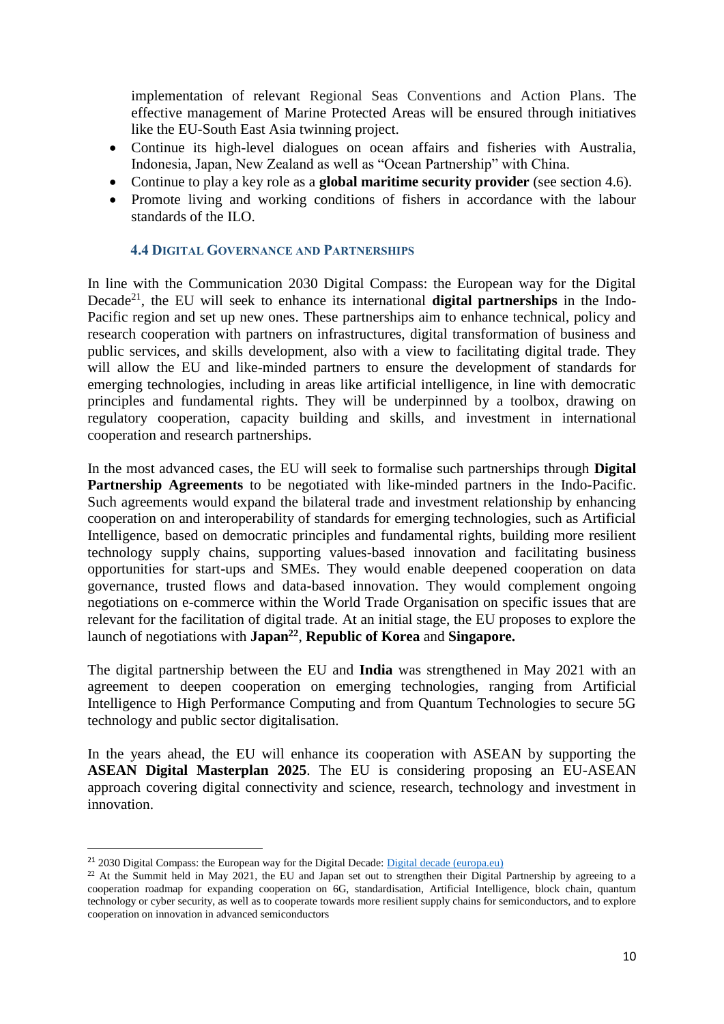implementation of relevant Regional Seas Conventions and Action Plans. The effective management of Marine Protected Areas will be ensured through initiatives like the EU-South East Asia twinning project.

- Continue its high-level dialogues on ocean affairs and fisheries with Australia, Indonesia, Japan, New Zealand as well as "Ocean Partnership" with China.
- Continue to play a key role as a **global maritime security provider** (see section 4.6).
- Promote living and working conditions of fishers in accordance with the labour standards of the ILO.

#### **4.4 DIGITAL GOVERNANCE AND PARTNERSHIPS**

In line with the Communication 2030 Digital Compass: the European way for the Digital Decade<sup>21</sup>, the EU will seek to enhance its international **digital partnerships** in the Indo-Pacific region and set up new ones. These partnerships aim to enhance technical, policy and research cooperation with partners on infrastructures, digital transformation of business and public services, and skills development, also with a view to facilitating digital trade. They will allow the EU and like-minded partners to ensure the development of standards for emerging technologies, including in areas like artificial intelligence, in line with democratic principles and fundamental rights. They will be underpinned by a toolbox, drawing on regulatory cooperation, capacity building and skills, and investment in international cooperation and research partnerships.

In the most advanced cases, the EU will seek to formalise such partnerships through **Digital Partnership Agreements** to be negotiated with like-minded partners in the Indo-Pacific. Such agreements would expand the bilateral trade and investment relationship by enhancing cooperation on and interoperability of standards for emerging technologies, such as Artificial Intelligence, based on democratic principles and fundamental rights, building more resilient technology supply chains, supporting values-based innovation and facilitating business opportunities for start-ups and SMEs. They would enable deepened cooperation on data governance, trusted flows and data-based innovation. They would complement ongoing negotiations on e-commerce within the World Trade Organisation on specific issues that are relevant for the facilitation of digital trade. At an initial stage, the EU proposes to explore the launch of negotiations with **Japan<sup>22</sup>** , **Republic of Korea** and **Singapore.**

The digital partnership between the EU and **India** was strengthened in May 2021 with an agreement to deepen cooperation on emerging technologies, ranging from Artificial Intelligence to High Performance Computing and from Quantum Technologies to secure 5G technology and public sector digitalisation.

In the years ahead, the EU will enhance its cooperation with ASEAN by supporting the **ASEAN Digital Masterplan 2025**. The EU is considering proposing an EU-ASEAN approach covering digital connectivity and science, research, technology and investment in innovation.

**.** 

<sup>&</sup>lt;sup>21</sup> 2030 Digital Compass: the European way for the Digital Decade: *Digital decade (europa.eu)* 

 $22$  At the Summit held in May 2021, the EU and Japan set out to strengthen their Digital Partnership by agreeing to a cooperation roadmap for expanding cooperation on 6G, standardisation, Artificial Intelligence, block chain, quantum technology or cyber security, as well as to cooperate towards more resilient supply chains for semiconductors, and to explore cooperation on innovation in advanced semiconductors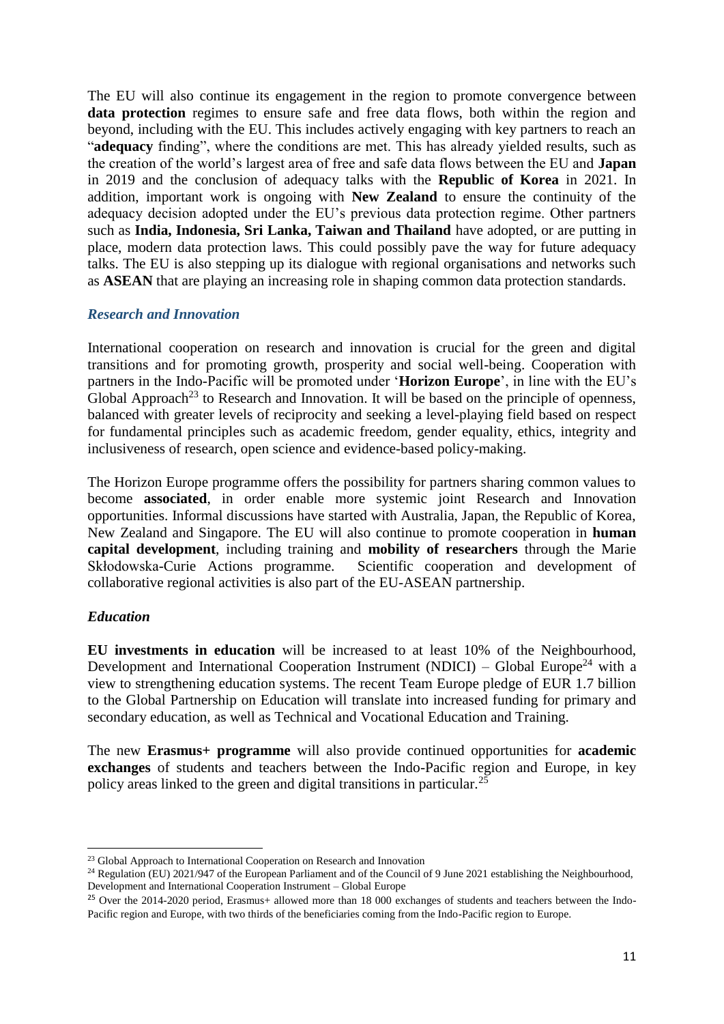The EU will also continue its engagement in the region to promote convergence between data protection regimes to ensure safe and free data flows, both within the region and beyond, including with the EU. This includes actively engaging with key partners to reach an "**adequacy** finding", where the conditions are met. This has already yielded results, such as the creation of the world's largest area of free and safe data flows between the EU and **Japan** in 2019 and the conclusion of adequacy talks with the **Republic of Korea** in 2021. In addition, important work is ongoing with **New Zealand** to ensure the continuity of the adequacy decision adopted under the EU's previous data protection regime. Other partners such as **India, Indonesia, Sri Lanka, Taiwan and Thailand** have adopted, or are putting in place, modern data protection laws. This could possibly pave the way for future adequacy talks. The EU is also stepping up its dialogue with regional organisations and networks such as **ASEAN** that are playing an increasing role in shaping common data protection standards.

#### *Research and Innovation*

International cooperation on research and innovation is crucial for the green and digital transitions and for promoting growth, prosperity and social well-being. Cooperation with partners in the Indo-Pacific will be promoted under '**Horizon Europe**', in line with the EU's Global Approach<sup>23</sup> to Research and Innovation. It will be based on the principle of openness, balanced with greater levels of reciprocity and seeking a level-playing field based on respect for fundamental principles such as academic freedom, gender equality, ethics, integrity and inclusiveness of research, open science and evidence-based policy-making.

The Horizon Europe programme offers the possibility for partners sharing common values to become **associated**, in order enable more systemic joint Research and Innovation opportunities. Informal discussions have started with Australia, Japan, the Republic of Korea, New Zealand and Singapore. The EU will also continue to promote cooperation in **human capital development**, including training and **mobility of researchers** through the Marie Skłodowska-Curie Actions programme. Scientific cooperation and development of collaborative regional activities is also part of the EU-ASEAN partnership.

## *Education*

**.** 

**EU investments in education** will be increased to at least 10% of the Neighbourhood, Development and International Cooperation Instrument (NDICI) – Global Europe<sup>24</sup> with a view to strengthening education systems. The recent Team Europe pledge of EUR 1.7 billion to the Global Partnership on Education will translate into increased funding for primary and secondary education, as well as Technical and Vocational Education and Training.

The new **Erasmus+ programme** will also provide continued opportunities for **academic exchanges** of students and teachers between the Indo-Pacific region and Europe, in key policy areas linked to the green and digital transitions in particular.<sup>25</sup>

<sup>&</sup>lt;sup>23</sup> Global Approach to International Cooperation on Research and Innovation

<sup>&</sup>lt;sup>24</sup> Regulation (EU) 2021/947 of the European Parliament and of the Council of 9 June 2021 establishing the Neighbourhood, Development and International Cooperation Instrument – Global Europe

<sup>&</sup>lt;sup>25</sup> Over the 2014-2020 period, Erasmus+ allowed more than 18 000 exchanges of students and teachers between the Indo-Pacific region and Europe, with two thirds of the beneficiaries coming from the Indo-Pacific region to Europe.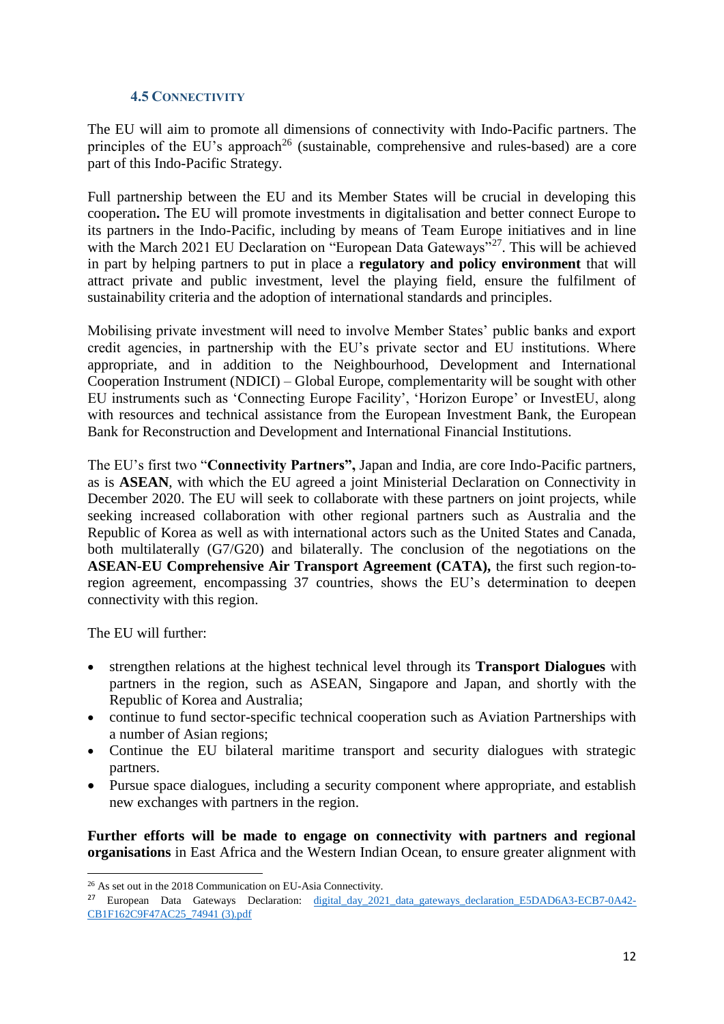## **4.5 CONNECTIVITY**

The EU will aim to promote all dimensions of connectivity with Indo-Pacific partners. The principles of the EU's approach<sup>26</sup> (sustainable, comprehensive and rules-based) are a core part of this Indo-Pacific Strategy.

Full partnership between the EU and its Member States will be crucial in developing this cooperation**.** The EU will promote investments in digitalisation and better connect Europe to its partners in the Indo-Pacific, including by means of Team Europe initiatives and in line with the March 2021 EU Declaration on "European Data Gateways"<sup>27</sup>. This will be achieved in part by helping partners to put in place a **regulatory and policy environment** that will attract private and public investment, level the playing field, ensure the fulfilment of sustainability criteria and the adoption of international standards and principles.

Mobilising private investment will need to involve Member States' public banks and export credit agencies, in partnership with the EU's private sector and EU institutions. Where appropriate, and in addition to the Neighbourhood, Development and International Cooperation Instrument (NDICI) – Global Europe, complementarity will be sought with other EU instruments such as 'Connecting Europe Facility', 'Horizon Europe' or InvestEU, along with resources and technical assistance from the European Investment Bank, the European Bank for Reconstruction and Development and International Financial Institutions.

The EU's first two "**Connectivity Partners",** Japan and India, are core Indo-Pacific partners, as is **ASEAN**, with which the EU agreed a joint Ministerial Declaration on Connectivity in December 2020. The EU will seek to collaborate with these partners on joint projects, while seeking increased collaboration with other regional partners such as Australia and the Republic of Korea as well as with international actors such as the United States and Canada, both multilaterally (G7/G20) and bilaterally. The conclusion of the negotiations on the **ASEAN-EU Comprehensive Air Transport Agreement (CATA),** the first such region-toregion agreement, encompassing 37 countries, shows the EU's determination to deepen connectivity with this region.

The EU will further:

- strengthen relations at the highest technical level through its **Transport Dialogues** with partners in the region, such as ASEAN, Singapore and Japan, and shortly with the Republic of Korea and Australia;
- continue to fund sector-specific technical cooperation such as Aviation Partnerships with a number of Asian regions;
- Continue the EU bilateral maritime transport and security dialogues with strategic partners.
- Pursue space dialogues, including a security component where appropriate, and establish new exchanges with partners in the region.

**Further efforts will be made to engage on connectivity with partners and regional organisations** in East Africa and the Western Indian Ocean, to ensure greater alignment with

<sup>1</sup> <sup>26</sup> As set out in the 2018 Communication on EU-Asia Connectivity.

<sup>&</sup>lt;sup>27</sup> European Data Gateways Declaration: [digital\\_day\\_2021\\_data\\_gateways\\_declaration\\_E5DAD6A3-ECB7-0A42-](file:///C:/Users/audazgd/Downloads/digital_day_2021_data_gateways_declaration_E5DAD6A3-ECB7-0A42-CB1F162C9F47AC25_74941%20(3).pdf) [CB1F162C9F47AC25\\_74941 \(3\).pdf](file:///C:/Users/audazgd/Downloads/digital_day_2021_data_gateways_declaration_E5DAD6A3-ECB7-0A42-CB1F162C9F47AC25_74941%20(3).pdf)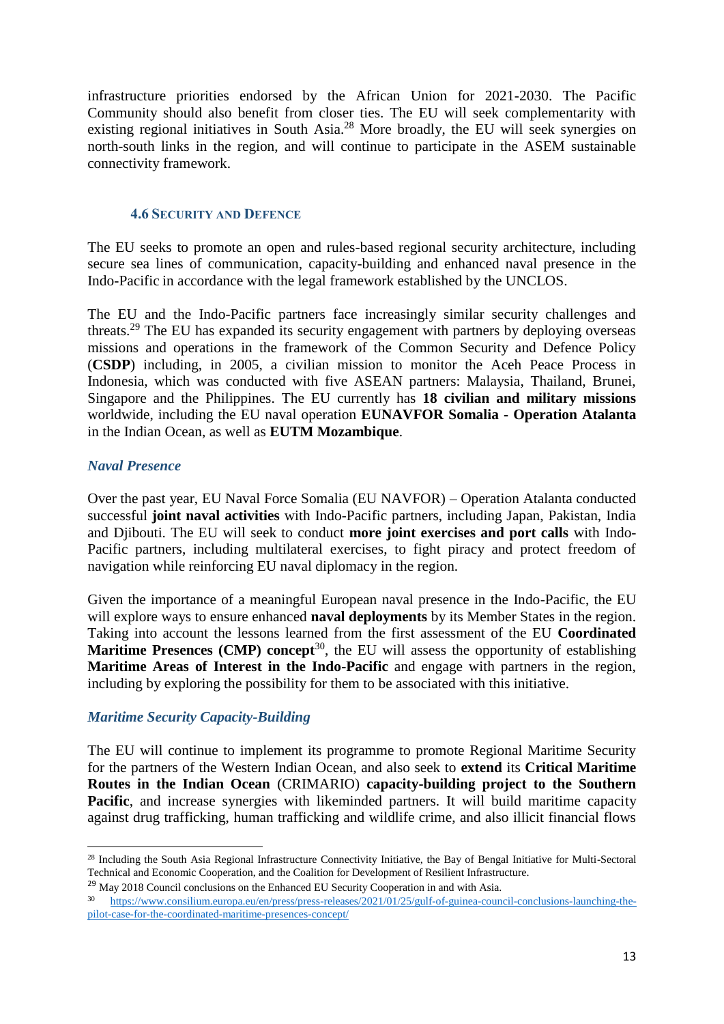infrastructure priorities endorsed by the African Union for 2021-2030. The Pacific Community should also benefit from closer ties. The EU will seek complementarity with existing regional initiatives in South Asia.<sup>28</sup> More broadly, the EU will seek synergies on north-south links in the region, and will continue to participate in the ASEM sustainable connectivity framework.

#### **4.6 SECURITY AND DEFENCE**

The EU seeks to promote an open and rules-based regional security architecture, including secure sea lines of communication, capacity-building and enhanced naval presence in the Indo-Pacific in accordance with the legal framework established by the UNCLOS.

The EU and the Indo-Pacific partners face increasingly similar security challenges and threats.<sup>29</sup> The EU has expanded its security engagement with partners by deploying overseas missions and operations in the framework of the Common Security and Defence Policy (**CSDP**) including, in 2005, a civilian mission to monitor the Aceh Peace Process in Indonesia, which was conducted with five ASEAN partners: Malaysia, Thailand, Brunei, Singapore and the Philippines. The EU currently has **18 civilian and military missions** worldwide, including the EU naval operation **EUNAVFOR Somalia - Operation Atalanta**  in the Indian Ocean, as well as **EUTM Mozambique**.

## *Naval Presence*

Over the past year, EU Naval Force Somalia (EU NAVFOR) – Operation Atalanta conducted successful **joint naval activities** with Indo-Pacific partners, including Japan, Pakistan, India and Djibouti. The EU will seek to conduct **more joint exercises and port calls** with Indo-Pacific partners, including multilateral exercises, to fight piracy and protect freedom of navigation while reinforcing EU naval diplomacy in the region.

Given the importance of a meaningful European naval presence in the Indo-Pacific, the EU will explore ways to ensure enhanced **naval deployments** by its Member States in the region. Taking into account the lessons learned from the first assessment of the EU **Coordinated Maritime Presences (CMP) concept<sup>30</sup>, the EU will assess the opportunity of establishing Maritime Areas of Interest in the Indo-Pacific** and engage with partners in the region, including by exploring the possibility for them to be associated with this initiative.

## *Maritime Security Capacity-Building*

The EU will continue to implement its programme to promote Regional Maritime Security for the partners of the Western Indian Ocean, and also seek to **extend** its **Critical Maritime Routes in the Indian Ocean** (CRIMARIO) **capacity-building project to the Southern Pacific**, and increase synergies with likeminded partners. It will build maritime capacity against drug trafficking, human trafficking and wildlife crime, and also illicit financial flows

 $\overline{a}$ <sup>28</sup> Including the South Asia Regional Infrastructure Connectivity Initiative, the Bay of Bengal Initiative for Multi-Sectoral Technical and Economic Cooperation, and the Coalition for Development of Resilient Infrastructure.

<sup>&</sup>lt;sup>29</sup> May 2018 Council conclusions on the Enhanced EU Security Cooperation in and with Asia.

<sup>30</sup> [https://www.consilium.europa.eu/en/press/press-releases/2021/01/25/gulf-of-guinea-council-conclusions-launching-the](https://www.consilium.europa.eu/en/press/press-releases/2021/01/25/gulf-of-guinea-council-conclusions-launching-the-pilot-case-for-the-coordinated-maritime-presences-concept/)[pilot-case-for-the-coordinated-maritime-presences-concept/](https://www.consilium.europa.eu/en/press/press-releases/2021/01/25/gulf-of-guinea-council-conclusions-launching-the-pilot-case-for-the-coordinated-maritime-presences-concept/)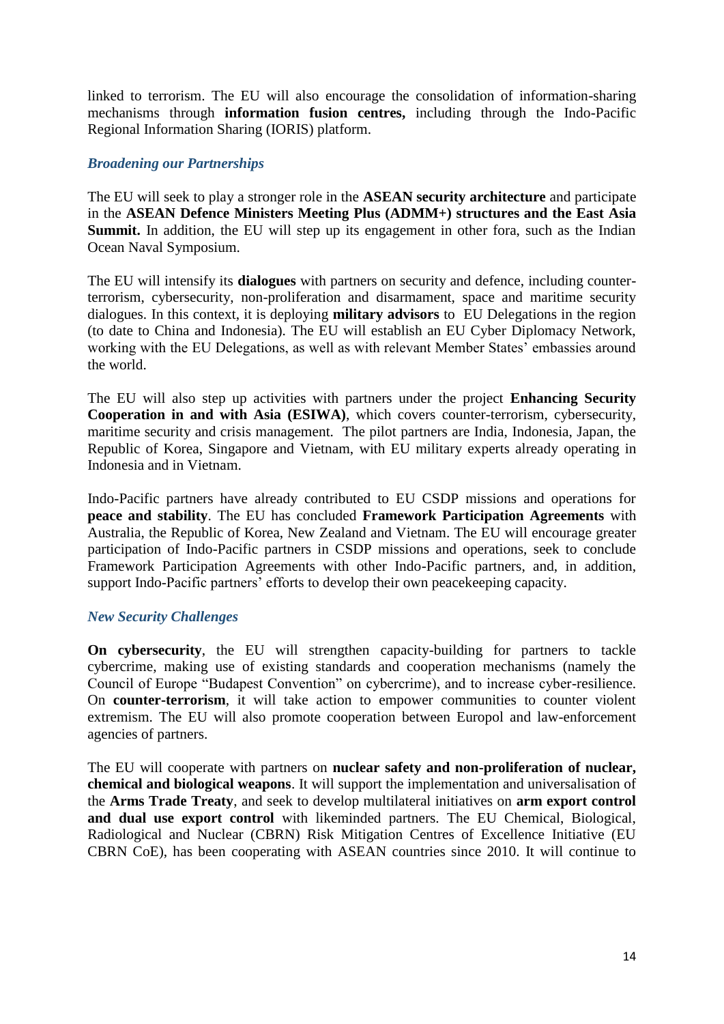linked to terrorism. The EU will also encourage the consolidation of information-sharing mechanisms through **information fusion centres,** including through the Indo-Pacific Regional Information Sharing (IORIS) platform.

## *Broadening our Partnerships*

The EU will seek to play a stronger role in the **ASEAN security architecture** and participate in the **ASEAN Defence Ministers Meeting Plus (ADMM+) structures and the East Asia Summit.** In addition, the EU will step up its engagement in other fora, such as the Indian Ocean Naval Symposium.

The EU will intensify its **dialogues** with partners on security and defence, including counterterrorism, cybersecurity, non-proliferation and disarmament, space and maritime security dialogues. In this context, it is deploying **military advisors** to EU Delegations in the region (to date to China and Indonesia). The EU will establish an EU Cyber Diplomacy Network, working with the EU Delegations, as well as with relevant Member States' embassies around the world.

The EU will also step up activities with partners under the project **Enhancing Security Cooperation in and with Asia (ESIWA)**, which covers counter-terrorism, cybersecurity, maritime security and crisis management. The pilot partners are India, Indonesia, Japan, the Republic of Korea, Singapore and Vietnam, with EU military experts already operating in Indonesia and in Vietnam.

Indo-Pacific partners have already contributed to EU CSDP missions and operations for **peace and stability**. The EU has concluded **Framework Participation Agreements** with Australia, the Republic of Korea, New Zealand and Vietnam. The EU will encourage greater participation of Indo-Pacific partners in CSDP missions and operations, seek to conclude Framework Participation Agreements with other Indo-Pacific partners, and, in addition, support Indo-Pacific partners' efforts to develop their own peacekeeping capacity.

#### *New Security Challenges*

**On cybersecurity**, the EU will strengthen capacity-building for partners to tackle cybercrime, making use of existing standards and cooperation mechanisms (namely the Council of Europe "Budapest Convention" on cybercrime), and to increase cyber-resilience. On **counter-terrorism**, it will take action to empower communities to counter violent extremism. The EU will also promote cooperation between Europol and law-enforcement agencies of partners.

The EU will cooperate with partners on **nuclear safety and non-proliferation of nuclear, chemical and biological weapons**. It will support the implementation and universalisation of the **Arms Trade Treaty**, and seek to develop multilateral initiatives on **arm export control and dual use export control** with likeminded partners. The EU Chemical, Biological, Radiological and Nuclear (CBRN) Risk Mitigation Centres of Excellence Initiative (EU CBRN CoE), has been cooperating with ASEAN countries since 2010. It will continue to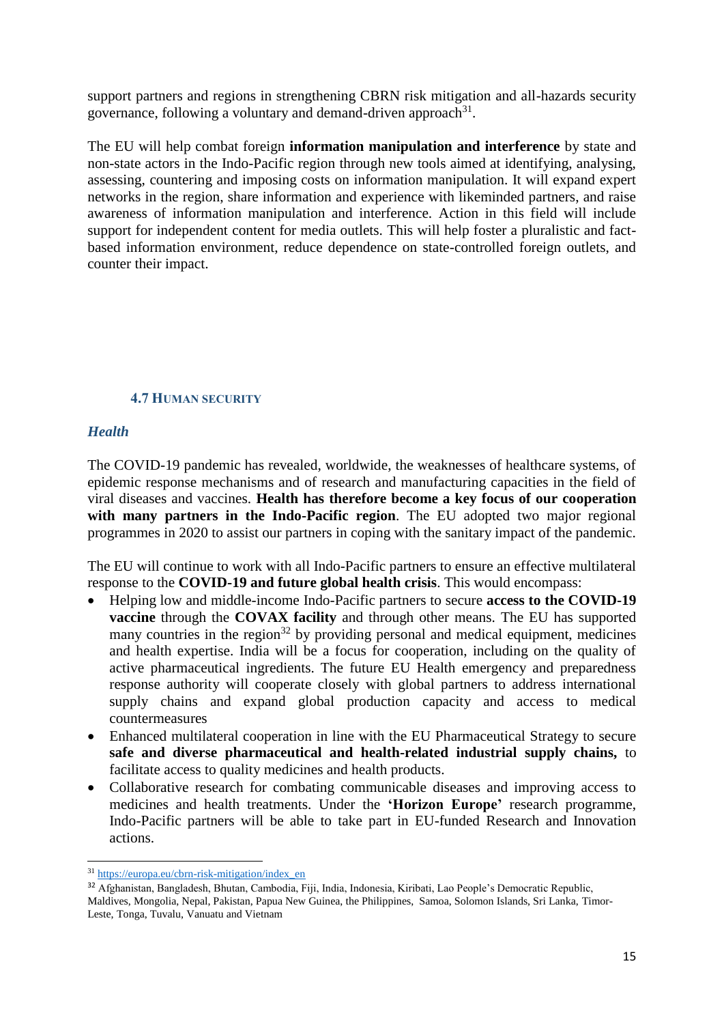support partners and regions in strengthening CBRN risk mitigation and all-hazards security governance, following a voluntary and demand-driven approach $31$ .

The EU will help combat foreign **information manipulation and interference** by state and non-state actors in the Indo-Pacific region through new tools aimed at identifying, analysing, assessing, countering and imposing costs on information manipulation. It will expand expert networks in the region, share information and experience with likeminded partners, and raise awareness of information manipulation and interference. Action in this field will include support for independent content for media outlets. This will help foster a pluralistic and factbased information environment, reduce dependence on state-controlled foreign outlets, and counter their impact.

## **4.7 HUMAN SECURITY**

## *Health*

1

The COVID-19 pandemic has revealed, worldwide, the weaknesses of healthcare systems, of epidemic response mechanisms and of research and manufacturing capacities in the field of viral diseases and vaccines. **Health has therefore become a key focus of our cooperation with many partners in the Indo-Pacific region**. The EU adopted two major regional programmes in 2020 to assist our partners in coping with the sanitary impact of the pandemic.

The EU will continue to work with all Indo-Pacific partners to ensure an effective multilateral response to the **COVID-19 and future global health crisis**. This would encompass:

- Helping low and middle-income Indo-Pacific partners to secure **access to the COVID-19 vaccine** through the **COVAX facility** and through other means. The EU has supported many countries in the region<sup>32</sup> by providing personal and medical equipment, medicines and health expertise. India will be a focus for cooperation, including on the quality of active pharmaceutical ingredients. The future EU Health emergency and preparedness response authority will cooperate closely with global partners to address international supply chains and expand global production capacity and access to medical countermeasures
- Enhanced multilateral cooperation in line with the EU Pharmaceutical Strategy to secure **safe and diverse pharmaceutical and health-related industrial supply chains,** to facilitate access to quality medicines and health products.
- Collaborative research for combating communicable diseases and improving access to medicines and health treatments. Under the **'Horizon Europe'** research programme, Indo-Pacific partners will be able to take part in EU-funded Research and Innovation actions.

<sup>31</sup> [https://europa.eu/cbrn-risk-mitigation/index\\_en](https://europa.eu/cbrn-risk-mitigation/index_en)

<sup>32</sup> Afghanistan, Bangladesh, Bhutan, Cambodia, Fiji, India, Indonesia, Kiribati, Lao People's Democratic Republic, Maldives, Mongolia, Nepal, Pakistan, Papua New Guinea, the Philippines, Samoa, Solomon Islands, Sri Lanka, Timor-Leste, Tonga, Tuvalu, Vanuatu and Vietnam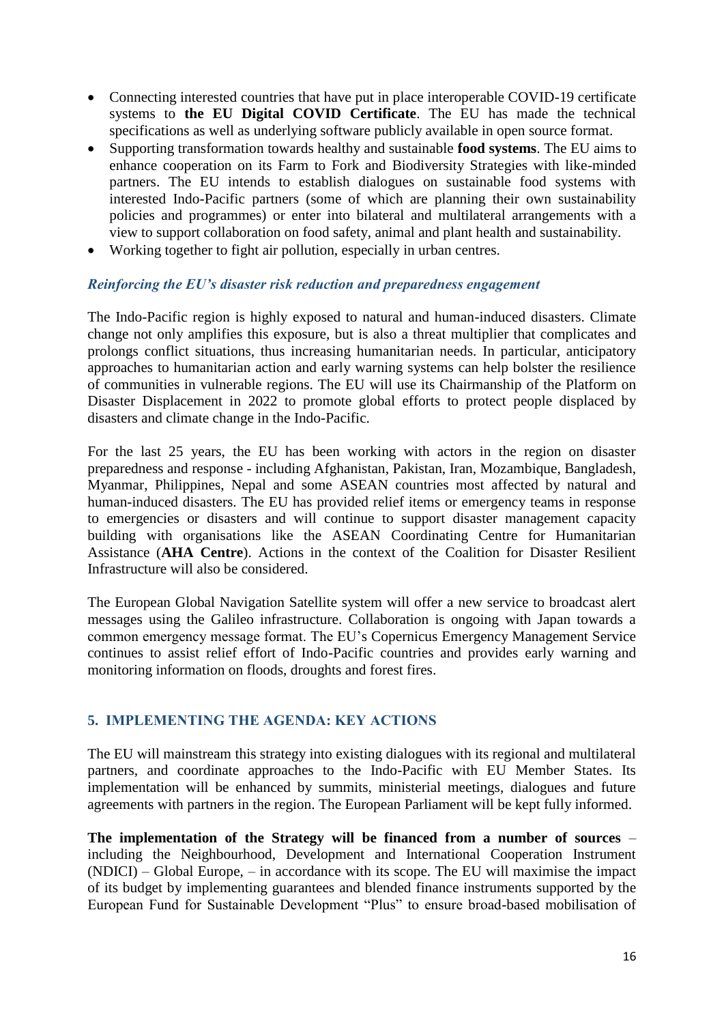- Connecting interested countries that have put in place interoperable COVID-19 certificate systems to **the EU Digital COVID Certificate**. The EU has made the technical specifications as well as underlying software publicly available in open source format.
- Supporting transformation towards healthy and sustainable **food systems**. The EU aims to enhance cooperation on its Farm to Fork and Biodiversity Strategies with like-minded partners. The EU intends to establish dialogues on sustainable food systems with interested Indo-Pacific partners (some of which are planning their own sustainability policies and programmes) or enter into bilateral and multilateral arrangements with a view to support collaboration on food safety, animal and plant health and sustainability.
- Working together to fight air pollution, especially in urban centres.

## *Reinforcing the EU's disaster risk reduction and preparedness engagement*

The Indo-Pacific region is highly exposed to natural and human-induced disasters. Climate change not only amplifies this exposure, but is also a threat multiplier that complicates and prolongs conflict situations, thus increasing humanitarian needs. In particular, anticipatory approaches to humanitarian action and early warning systems can help bolster the resilience of communities in vulnerable regions. The EU will use its Chairmanship of the Platform on Disaster Displacement in 2022 to promote global efforts to protect people displaced by disasters and climate change in the Indo-Pacific.

For the last 25 years, the EU has been working with actors in the region on disaster preparedness and response - including Afghanistan, Pakistan, Iran, Mozambique, Bangladesh, Myanmar, Philippines, Nepal and some ASEAN countries most affected by natural and human-induced disasters. The EU has provided relief items or emergency teams in response to emergencies or disasters and will continue to support disaster management capacity building with organisations like the ASEAN Coordinating Centre for Humanitarian Assistance (**AHA Centre**). Actions in the context of the Coalition for Disaster Resilient Infrastructure will also be considered.

The European Global Navigation Satellite system will offer a new service to broadcast alert messages using the Galileo infrastructure. Collaboration is ongoing with Japan towards a common emergency message format. The EU's Copernicus Emergency Management Service continues to assist relief effort of Indo-Pacific countries and provides early warning and monitoring information on floods, droughts and forest fires.

## **5. IMPLEMENTING THE AGENDA: KEY ACTIONS**

The EU will mainstream this strategy into existing dialogues with its regional and multilateral partners, and coordinate approaches to the Indo-Pacific with EU Member States. Its implementation will be enhanced by summits, ministerial meetings, dialogues and future agreements with partners in the region. The European Parliament will be kept fully informed.

**The implementation of the Strategy will be financed from a number of sources** – including the Neighbourhood, Development and International Cooperation Instrument (NDICI) – Global Europe, – in accordance with its scope. The EU will maximise the impact of its budget by implementing guarantees and blended finance instruments supported by the European Fund for Sustainable Development "Plus" to ensure broad-based mobilisation of